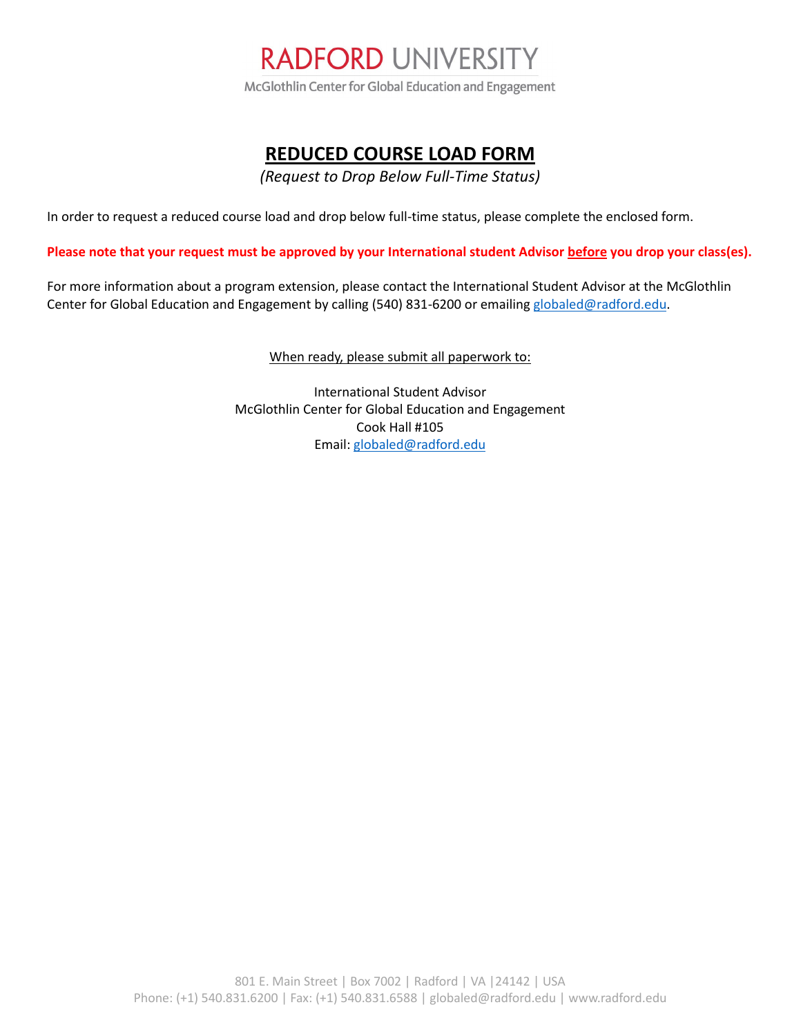

## **REDUCED COURSE LOAD FORM**

*(Request to Drop Below Full-Time Status)*

In order to request a reduced course load and drop below full-time status, please complete the enclosed form.

**Please note that your request must be approved by your International student Advisor before you drop your class(es).**

For more information about a program extension, please contact the International Student Advisor at the McGlothlin Center for Global Education and Engagement by calling (540) 831-6200 or emailing [globaled@radford.edu.](mailto:globaled@radford.edu)

When ready, please submit all paperwork to:

International Student Advisor McGlothlin Center for Global Education and Engagement Cook Hall #105 Email[: globaled@radford.edu](mailto:globaled@radford.edu)